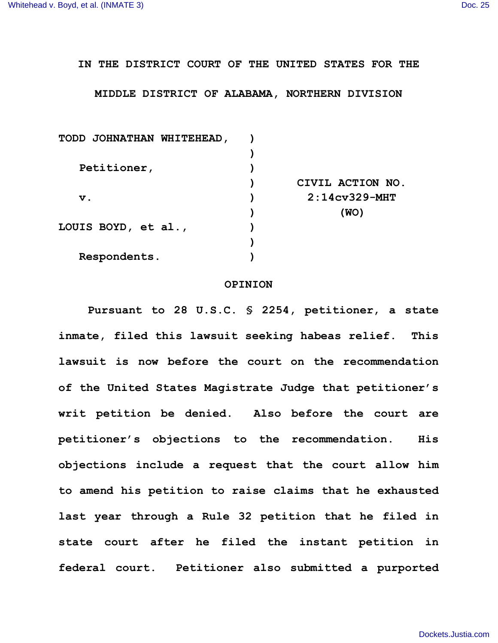## **IN THE DISTRICT COURT OF THE UNITED STATES FOR THE**

## **MIDDLE DISTRICT OF ALABAMA, NORTHERN DIVISION**

| CIVIL ACTION NO. |
|------------------|
| $2:14cV329-MHT$  |
| (WO)             |
|                  |
|                  |
|                  |
|                  |

## **OPINION**

**Pursuant to 28 U.S.C. § 2254, petitioner, a state inmate, filed this lawsuit seeking habeas relief. This lawsuit is now before the court on the recommendation of the United States Magistrate Judge that petitioner's writ petition be denied. Also before the court are petitioner's objections to the recommendation. His objections include a request that the court allow him to amend his petition to raise claims that he exhausted last year through a Rule 32 petition that he filed in state court after he filed the instant petition in federal court. Petitioner also submitted a purported**